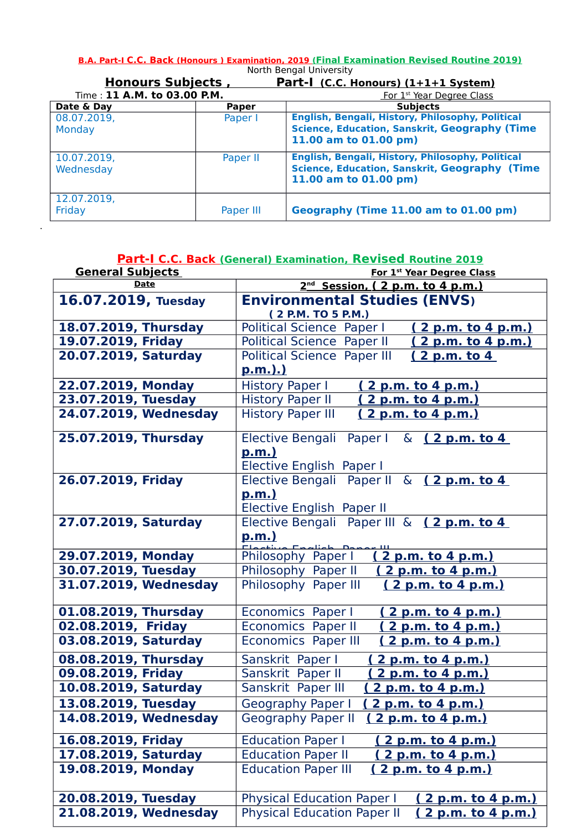**B.A. Part-I C.C. Back (Honours ) Examination, 2019 (Final Examination Revised Routine 2019)** North Bengal University

| <b>Honours Subjects</b>     |              | Part-I (C.C. Honours) (1+1+1 System)                                                                                              |  |
|-----------------------------|--------------|-----------------------------------------------------------------------------------------------------------------------------------|--|
| Time: 11 A.M. to 03.00 P.M. |              | For 1 <sup>st</sup> Year Degree Class                                                                                             |  |
| Date & Day                  | <b>Paper</b> | <b>Subjects</b>                                                                                                                   |  |
| 08.07.2019,<br>Monday       | Paper I      | English, Bengali, History, Philosophy, Political<br><b>Science, Education, Sanskrit, Geography (Time</b><br>11.00 am to 01.00 pm) |  |
| 10.07.2019,<br>Wednesday    | Paper II     | English, Bengali, History, Philosophy, Political<br><b>Science, Education, Sanskrit, Geography (Time</b><br>11.00 am to 01.00 pm) |  |
| 12.07.2019,<br>Friday       | Paper III    | Geography (Time 11.00 am to 01.00 pm)                                                                                             |  |

.

|                         | Part-I C.C. Back (General) Examination, Revised Routine 2019 |  |  |
|-------------------------|--------------------------------------------------------------|--|--|
| <b>General Subjects</b> | For 1st Year Degree Class                                    |  |  |
| <b>Date</b>             | 2 <sup>nd</sup> Session, (2 p.m. to 4 p.m.)                  |  |  |
| 16.07.2019, Tuesday     | <b>Environmental Studies (ENVS)</b><br>(2 P.M. TO 5 P.M.)    |  |  |
| 18.07.2019, Thursday    | Political Science Paper I<br><u>(2 p.m. to 4 p.m.)</u>       |  |  |
| 19.07.2019, Friday      | Political Science Paper II<br>(2 p.m. to 4 p.m.)             |  |  |
| 20.07.2019, Saturday    | <b>Political Science Paper III</b><br><u>(2 p.m. to 4</u>    |  |  |
|                         | <u>p.m.).)</u>                                               |  |  |
| 22.07.2019, Monday      | <b>History Paper I</b><br><u>( 2 p.m. to 4 p.m.)</u>         |  |  |
| 23.07.2019, Tuesday     | <b>History Paper II</b><br>2 p.m. to 4 p.m.)                 |  |  |
| 24.07.2019, Wednesday   | <b>History Paper III</b><br>(2 p.m. to 4 p.m.)               |  |  |
| 25.07.2019, Thursday    | Elective Bengali Paper I & (2 p.m. to 4                      |  |  |
|                         | p.m.)                                                        |  |  |
|                         | Elective English Paper I                                     |  |  |
| 26.07.2019, Friday      | Elective Bengali Paper II & $(2 p.m. to 4$                   |  |  |
|                         | <u>p.m.)</u>                                                 |  |  |
|                         | Elective English Paper II                                    |  |  |
| 27.07.2019, Saturday    | Elective Bengali Paper III & (2 p.m. to 4                    |  |  |
|                         | <u>p.m.)</u><br>Englich Danar                                |  |  |
| 29.07.2019, Monday      | 2 p.m. to 4 p.m.)<br>Philosophy Paper I                      |  |  |
| 30.07.2019, Tuesday     | Philosophy Paper II<br>2 p.m. to 4 p.m.)                     |  |  |
| 31.07.2019, Wednesday   | Philosophy Paper III<br>(2 p.m. to 4 p.m.)                   |  |  |
| 01.08.2019, Thursday    | Economics Paper I<br>(2 p.m. to 4 p.m.)                      |  |  |
| 02.08.2019, Friday      | <b>Economics Paper II</b><br>(2 p.m. to 4 p.m.)              |  |  |
| 03.08.2019, Saturday    | <b>Economics Paper III</b><br>(2 p.m. to 4 p.m.)             |  |  |
| 08.08.2019, Thursday    | Sanskrit Paper I<br><u>2 p.m. to 4 p.m.)</u>                 |  |  |
| 09.08.2019, Friday      | Sanskrit Paper II<br>2 p.m. to 4 p.m.)                       |  |  |
| 10.08.2019, Saturday    | Sanskrit Paper III<br>2 p.m. to 4 p.m.)                      |  |  |
| 13.08.2019, Tuesday     | (2 p.m. to 4 p.m.)<br>Geography Paper I                      |  |  |
| 14.08.2019, Wednesday   | <b>Geography Paper II</b><br>(2 p.m. to 4 p.m.)              |  |  |
| 16.08.2019, Friday      | <b>Education Paper I</b><br><u>( 2 p.m. to 4 p.m.)</u>       |  |  |
| 17.08.2019, Saturday    | <b>Education Paper II</b><br>2 p.m. to 4 p.m.)               |  |  |
| 19.08.2019, Monday      | <b>Education Paper III</b><br><u>(2 p.m. to 4 p.m.)</u>      |  |  |
| 20.08.2019, Tuesday     | Physical Education Paper   (2 p.m. to 4 p.m.)                |  |  |

**21.08.2019, Wednesday** Physical Education Paper II **( 2 p.m. to 4 p.m.)**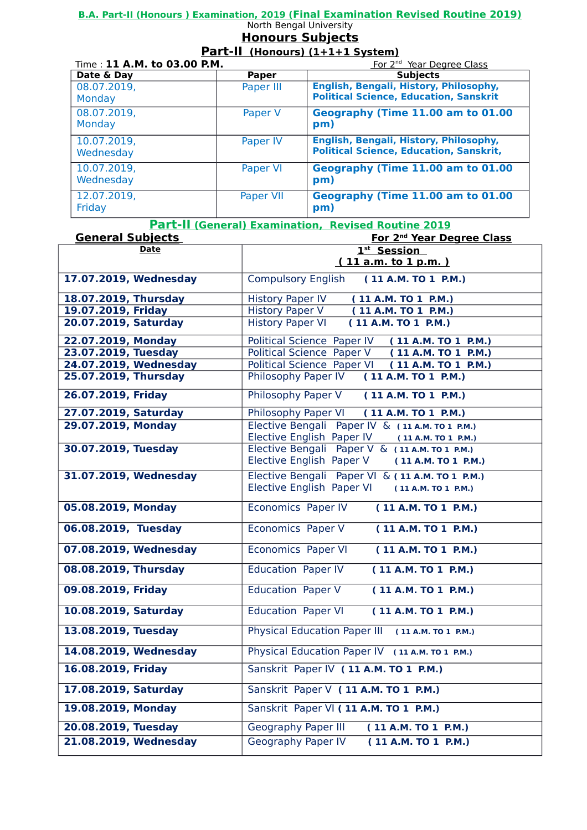### **B.A. Part-II (Honours ) Examination, 2019 (Final Examination Revised Routine 2019)**

#### North Bengal University **Honours Subjects**

# **Part-II (Honours) (1+1+1 System)**

| Time: 11 A.M. to 03.00 P.M. |              | For 2 <sup>nd</sup> Year Degree Class                                                    |  |
|-----------------------------|--------------|------------------------------------------------------------------------------------------|--|
| Date & Day                  | <b>Paper</b> | <b>Subjects</b>                                                                          |  |
| 08.07.2019,<br>Monday       | Paper III    | English, Bengali, History, Philosophy,<br><b>Political Science, Education, Sanskrit</b>  |  |
| 08.07.2019,<br>Monday       | Paper V      | Geography (Time 11.00 am to 01.00<br>pm)                                                 |  |
| 10.07.2019,<br>Wednesday    | Paper IV     | English, Bengali, History, Philosophy,<br><b>Political Science, Education, Sanskrit,</b> |  |
| 10.07.2019,<br>Wednesday    | Paper VI     | Geography (Time 11.00 am to 01.00<br>pm)                                                 |  |
| 12.07.2019,<br>Friday       | Paper VII    | Geography (Time 11.00 am to 01.00<br>pm)                                                 |  |

 **Part-II (General) Examination, Revised Routine 2019**

| <b>General Subjects</b> | <b>For 2<sup>nd</sup> Year Degree Class</b>                                                      |
|-------------------------|--------------------------------------------------------------------------------------------------|
| <b>Date</b>             | 1st Session                                                                                      |
|                         | (11 a.m. to 1 p.m.)                                                                              |
| 17.07.2019, Wednesday   | <b>Compulsory English</b><br>(11 A.M. TO 1 P.M.)                                                 |
| 18.07.2019, Thursday    | <b>History Paper IV</b><br>(11 A.M. TO 1 P.M.)                                                   |
| 19.07.2019, Friday      | <b>History Paper V</b><br>(11 A.M. TO 1 P.M.)                                                    |
| 20.07.2019, Saturday    | <b>History Paper VI</b><br>(11 A.M. TO 1 P.M.)                                                   |
| 22.07.2019, Monday      | Political Science Paper IV (11 A.M. TO 1 P.M.)                                                   |
| 23.07.2019, Tuesday     | Political Science Paper V (11 A.M. TO 1 P.M.)                                                    |
| 24.07.2019, Wednesday   | Political Science Paper VI (11 A.M. TO 1 P.M.)                                                   |
| 25.07.2019, Thursday    | Philosophy Paper IV (11 A.M. TO 1 P.M.)                                                          |
| 26.07.2019, Friday      | Philosophy Paper V (11 A.M. TO 1 P.M.)                                                           |
| 27.07.2019, Saturday    | Philosophy Paper VI<br>(11 A.M. TO 1 P.M.)                                                       |
| 29.07.2019, Monday      | Elective Bengali Paper IV & (11 A.M. TO 1 P.M.)<br>Elective English Paper IV (11 A.M. TO 1 P.M.) |
| 30.07.2019, Tuesday     | Elective Bengali Paper V & (11 A.M. TO 1 P.M.)                                                   |
|                         | Elective English Paper V<br>(11 A.M. TO 1 P.M.)                                                  |
| 31.07.2019, Wednesday   | Elective Bengali Paper VI & (11 A.M. TO 1 P.M.)                                                  |
|                         | Elective English Paper VI (11 A.M. TO 1 P.M.)                                                    |
| 05.08.2019, Monday      | Economics Paper IV<br>(11 A.M. TO 1 P.M.)                                                        |
| 06.08.2019, Tuesday     | <b>Economics Paper V</b><br>(11 A.M. TO 1 P.M.)                                                  |
| 07.08.2019, Wednesday   | <b>Economics Paper VI</b><br>(11 A.M. TO 1 P.M.)                                                 |
| 08.08.2019, Thursday    | <b>Education Paper IV</b><br>(11 A.M. TO 1 P.M.)                                                 |
| 09.08.2019, Friday      | <b>Education Paper V</b><br>(11 A.M. TO 1 P.M.)                                                  |
| 10.08.2019, Saturday    | <b>Education Paper VI</b><br>(11 A.M. TO 1 P.M.)                                                 |
| 13.08.2019, Tuesday     | Physical Education Paper III (11 A.M. TO 1 P.M.)                                                 |
| 14.08.2019, Wednesday   | Physical Education Paper IV (11 A.M. TO 1 P.M.)                                                  |
| 16.08.2019, Friday      | Sanskrit Paper IV (11 A.M. TO 1 P.M.)                                                            |
| 17.08.2019, Saturday    | Sanskrit Paper V (11 A.M. TO 1 P.M.)                                                             |
| 19.08.2019, Monday      | Sanskrit Paper VI (11 A.M. TO 1 P.M.)                                                            |
| 20.08.2019, Tuesday     | <b>Geography Paper III</b><br>(11 A.M. TO 1 P.M.)                                                |
| 21.08.2019, Wednesday   | Geography Paper IV<br>(11 A.M. TO 1 P.M.)                                                        |